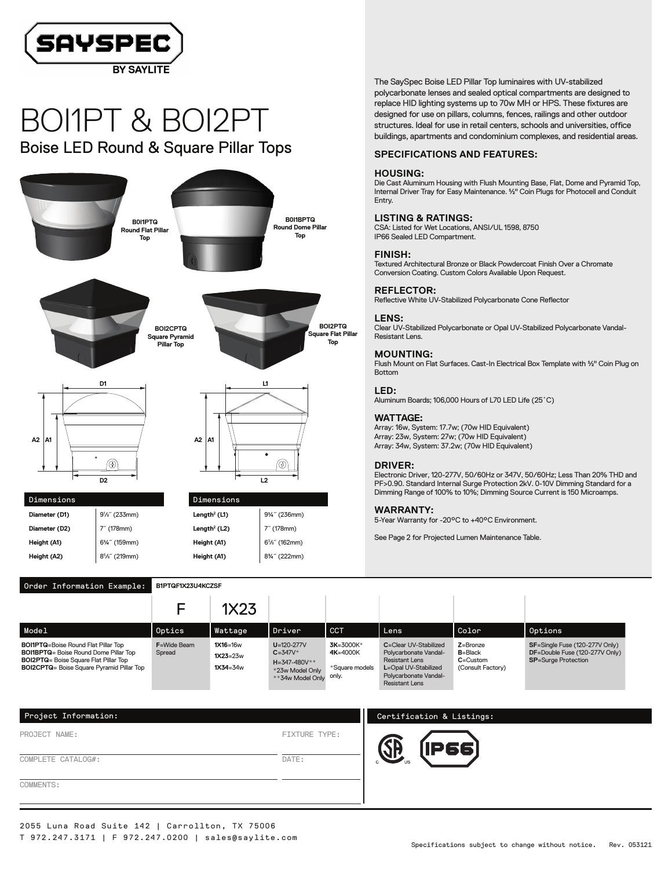

# BOI1PT & BOI2PT Boise LED Round & Square Pillar Tops



The SaySpec Boise LED Pillar Top luminaires with UV-stabilized polycarbonate lenses and sealed optical compartments are designed to replace HID lighting systems up to 70w MH or HPS. These fixtures are designed for use on pillars, columns, fences, railings and other outdoor structures. Ideal for use in retail centers, schools and universities, office buildings, apartments and condominium complexes, and residential areas.

## **SPECIFICATIONS AND FEATURES:**

#### **HOUSING:**

Die Cast Aluminum Housing with Flush Mounting Base, Flat, Dome and Pyramid Top, Internal Driver Tray for Easy Maintenance. ½" Coin Plugs for Photocell and Conduit Entry.

#### **LISTING & RATINGS:**

CSA: Listed for Wet Locations, ANSI/UL 1598, 8750 IP66 Sealed LED Compartment.

#### **FINISH:**

Textured Architectural Bronze or Black Powdercoat Finish Over a Chromate Conversion Coating. Custom Colors Available Upon Request.

# **REFLECTOR:**

Reflective White UV-Stabilized Polycarbonate Cone Reflector

### **LENS:**

Clear UV-Stabilized Polycarbonate or Opal UV-Stabilized Polycarbonate Vandal-Resistant Lens.

# **MOUNTING:**

Flush Mount on Flat Surfaces. Cast-In Electrical Box Template with ½" Coin Plug on Bottom

## **LED:**

Aluminum Boards; 106,000 Hours of L70 LED Life (25˚C)

#### **WATTAGE:**

Array: 16w, System: 17.7w; (70w HID Equivalent) Array: 23w, System: 27w; (70w HID Equivalent) Array: 34w, System: 37.2w; (70w HID Equivalent)

#### **DRIVER:**

Electronic Driver,120-277V, 50/60Hz or 347V, 50/60Hz; Less Than 20% THD and PF>0.90. Standard Internal Surge Protection 2kV. 0-10V Dimming Standard for a Dimming Range of 100% to 10%; Dimming Source Current is 150 Microamps.

# **WARRANTY:**

5-Year Warranty for -20°C to +40°C Environment.

See Page 2 for Projected Lumen Maintenance Table.

|                                                                                                                                                                                                   |                               | 1X23                                     |                                                                                               |                                                  |                                                                                                                                                   |                                                                  |                                                                                                |
|---------------------------------------------------------------------------------------------------------------------------------------------------------------------------------------------------|-------------------------------|------------------------------------------|-----------------------------------------------------------------------------------------------|--------------------------------------------------|---------------------------------------------------------------------------------------------------------------------------------------------------|------------------------------------------------------------------|------------------------------------------------------------------------------------------------|
| Model                                                                                                                                                                                             | Optics                        | Wattage                                  | Driver                                                                                        | <b>CCT</b>                                       | Lens                                                                                                                                              | Color                                                            | Options                                                                                        |
| <b>BOI1PTQ=Boise Round Flat Pillar Top</b><br><b>BOI1BPTQ</b> = Boise Round Dome Pillar Top<br><b>BOI2PTQ</b> = Boise Square Flat Pillar Top<br><b>BOI2CPTQ</b> = Boise Square Pyramid Pillar Top | <b>F</b> =Wide Beam<br>Spread | $1X16=16w$<br>$1X23=23w$<br>$1X34 = 34w$ | $U = 120 - 277V$<br>$C = 347V^*$<br>$H = 347 - 480V^*$<br>*23w Model Only<br>**34w Model Only | 3K=3000K*<br>4K=4000K<br>*Square models<br>only. | C=Clear UV-Stabilized<br>Polycarbonate Vandal-<br><b>Resistant Lens</b><br>L=Opal UV-Stabilized<br>Polycarbonate Vandal-<br><b>Resistant Lens</b> | $Z =$ Bronze<br>$B = Black$<br>$C =$ Custom<br>(Consult Factory) | SF=Single Fuse (120-277V Only)<br>DF=Double Fuse (120-277V Only)<br><b>SP=Surge Protection</b> |

| Project Information: |                      | Certification & Listings: |
|----------------------|----------------------|---------------------------|
| PROJECT NAME:        | <b>FIXTURE TYPE:</b> | P66)                      |
| COMPLETE CATALOG#:   | DATE:                |                           |
| COMMENTS:            |                      |                           |